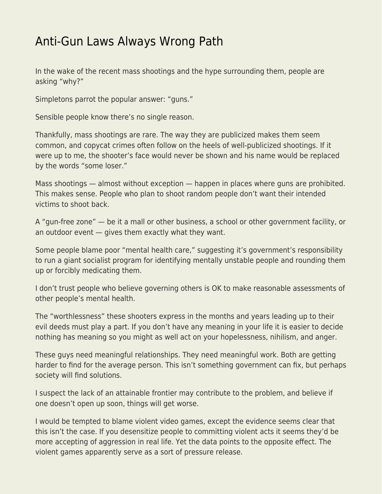## [Anti-Gun Laws Always Wrong Path](https://everything-voluntary.com/anti-gun-laws-always-wrong-path)

In the wake of the recent mass shootings and the hype surrounding them, people are asking "why?"

Simpletons parrot the popular answer: "guns."

Sensible people know there's no single reason.

Thankfully, mass shootings are rare. The way they are publicized makes them seem common, and copycat crimes often follow on the heels of well-publicized shootings. If it were up to me, the shooter's face would never be shown and his name would be replaced by the words "some loser."

Mass shootings — almost without exception — happen in places where guns are prohibited. This makes sense. People who plan to shoot random people don't want their intended victims to shoot back.

A "gun-free zone" — be it a mall or other business, a school or other government facility, or an outdoor event — gives them exactly what they want.

Some people blame poor "mental health care," suggesting it's government's responsibility to run a giant socialist program for identifying mentally unstable people and rounding them up or forcibly medicating them.

I don't trust people who believe governing others is OK to make reasonable assessments of other people's mental health.

The "worthlessness" these shooters express in the months and years leading up to their evil deeds must play a part. If you don't have any meaning in your life it is easier to decide nothing has meaning so you might as well act on your hopelessness, nihilism, and anger.

These guys need meaningful relationships. They need meaningful work. Both are getting harder to find for the average person. This isn't something government can fix, but perhaps society will find solutions.

I suspect the lack of an attainable frontier may contribute to the problem, and believe if one doesn't open up soon, things will get worse.

I would be tempted to blame violent video games, except the evidence seems clear that this isn't the case. If you desensitize people to committing violent acts it seems they'd be more accepting of aggression in real life. Yet the data points to the opposite effect. The violent games apparently serve as a sort of pressure release.